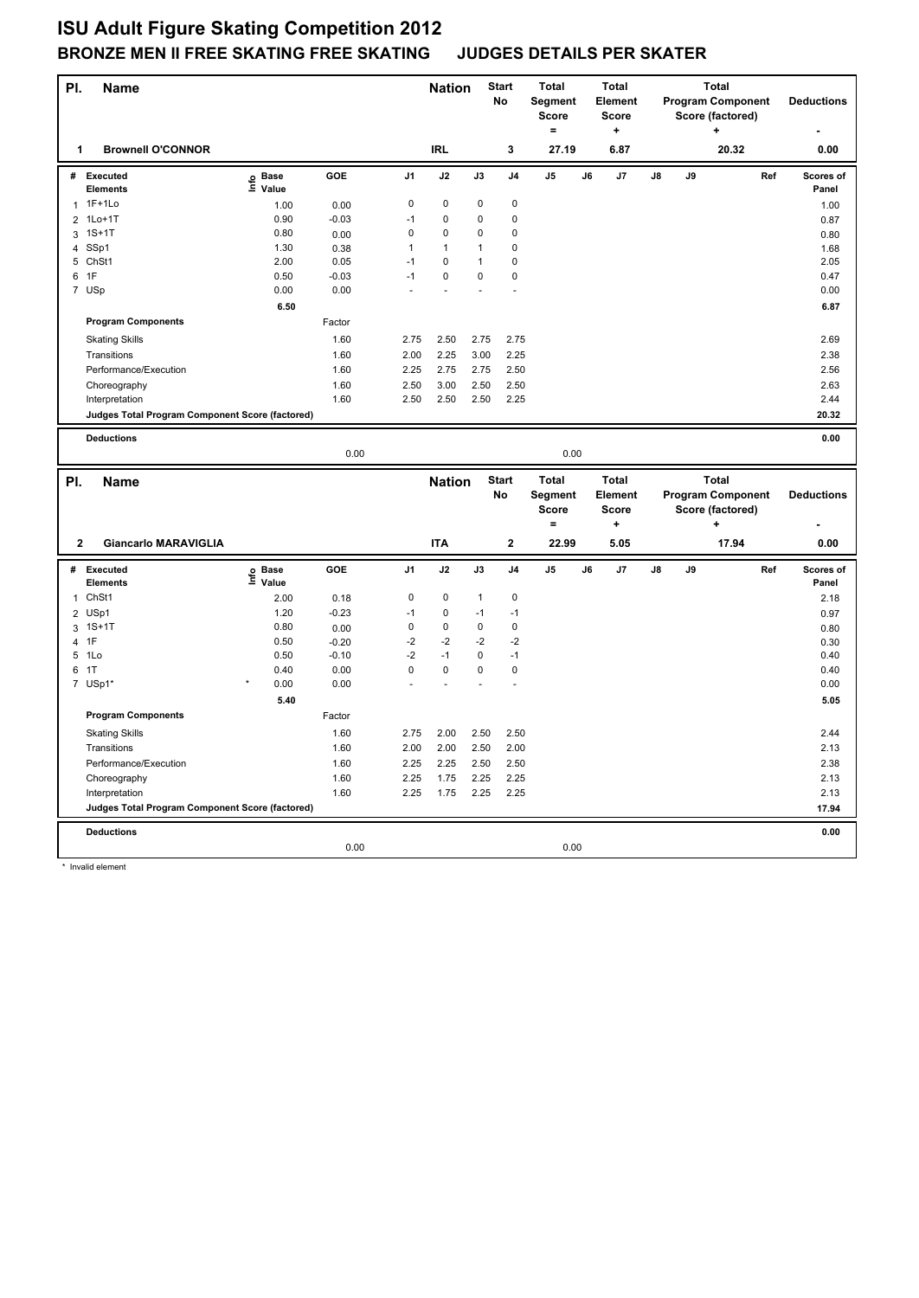## **ISU Adult Figure Skating Competition 2012 BRONZE MEN II FREE SKATING FREE SKATING JUDGES DETAILS PER SKATER**

| PI.              | <b>Name</b>                                     |                   |         |                | <b>Nation</b> |              | <b>Start</b><br><b>No</b> | <b>Total</b><br>Segment<br>Score<br>$\equiv$ |    | <b>Total</b><br>Element<br><b>Score</b><br>$\ddot{}$ |    |    | <b>Total</b><br><b>Program Component</b><br>Score (factored)<br>$\ddot{}$ |     | <b>Deductions</b>  |
|------------------|-------------------------------------------------|-------------------|---------|----------------|---------------|--------------|---------------------------|----------------------------------------------|----|------------------------------------------------------|----|----|---------------------------------------------------------------------------|-----|--------------------|
| 1                | <b>Brownell O'CONNOR</b>                        |                   |         |                | <b>IRL</b>    |              | 3                         | 27.19                                        |    | 6.87                                                 |    |    | 20.32                                                                     |     | 0.00               |
| #                | Executed<br><b>Elements</b>                     | e Base<br>⊑ Value | GOE     | J <sub>1</sub> | J2            | J3           | J <sub>4</sub>            | J5                                           | J6 | J7                                                   | J8 | J9 |                                                                           | Ref | Scores of<br>Panel |
| 1                | $1F+1Lo$                                        | 1.00              | 0.00    | 0              | 0             | 0            | $\mathbf 0$               |                                              |    |                                                      |    |    |                                                                           |     | 1.00               |
| $\overline{2}$   | $1Lo+1T$                                        | 0.90              | $-0.03$ | $-1$           | 0             | 0            | $\mathbf 0$               |                                              |    |                                                      |    |    |                                                                           |     | 0.87               |
| 3                | $1S+1T$                                         | 0.80              | 0.00    | $\mathbf 0$    | 0             | 0            | 0                         |                                              |    |                                                      |    |    |                                                                           |     | 0.80               |
| 4                | SSp1                                            | 1.30              | 0.38    | $\mathbf{1}$   | $\mathbf{1}$  | 1            | $\pmb{0}$                 |                                              |    |                                                      |    |    |                                                                           |     | 1.68               |
| 5                | ChSt1                                           | 2.00              | 0.05    | $-1$           | 0             | 1            | 0                         |                                              |    |                                                      |    |    |                                                                           |     | 2.05               |
|                  | 6 1F                                            | 0.50              | $-0.03$ | $-1$           | 0             | 0            | $\mathbf 0$               |                                              |    |                                                      |    |    |                                                                           |     | 0.47               |
| $\boldsymbol{7}$ | USp                                             | 0.00              | 0.00    |                |               |              |                           |                                              |    |                                                      |    |    |                                                                           |     | 0.00               |
|                  |                                                 | 6.50              |         |                |               |              |                           |                                              |    |                                                      |    |    |                                                                           |     | 6.87               |
|                  | <b>Program Components</b>                       |                   | Factor  |                |               |              |                           |                                              |    |                                                      |    |    |                                                                           |     |                    |
|                  | <b>Skating Skills</b>                           |                   | 1.60    | 2.75           | 2.50          | 2.75         | 2.75                      |                                              |    |                                                      |    |    |                                                                           |     | 2.69               |
|                  | Transitions                                     |                   | 1.60    | 2.00           | 2.25          | 3.00         | 2.25                      |                                              |    |                                                      |    |    |                                                                           |     | 2.38               |
|                  | Performance/Execution                           |                   | 1.60    | 2.25           | 2.75          | 2.75         | 2.50                      |                                              |    |                                                      |    |    |                                                                           |     | 2.56               |
|                  | Choreography                                    |                   | 1.60    | 2.50           | 3.00          | 2.50         | 2.50                      |                                              |    |                                                      |    |    |                                                                           |     | 2.63               |
|                  | Interpretation                                  |                   | 1.60    | 2.50           | 2.50          | 2.50         | 2.25                      |                                              |    |                                                      |    |    |                                                                           |     | 2.44               |
|                  | Judges Total Program Component Score (factored) |                   |         |                |               |              |                           |                                              |    |                                                      |    |    |                                                                           |     | 20.32              |
|                  |                                                 |                   |         |                |               |              |                           |                                              |    |                                                      |    |    |                                                                           |     |                    |
|                  | <b>Deductions</b>                               |                   |         |                |               |              |                           |                                              |    |                                                      |    |    |                                                                           |     | 0.00               |
|                  |                                                 |                   | 0.00    |                |               |              |                           | 0.00                                         |    |                                                      |    |    |                                                                           |     |                    |
|                  |                                                 |                   |         |                |               |              |                           |                                              |    |                                                      |    |    |                                                                           |     |                    |
|                  |                                                 |                   |         |                |               |              |                           |                                              |    |                                                      |    |    | <b>Total</b>                                                              |     |                    |
| PI.              | <b>Name</b>                                     |                   |         |                | <b>Nation</b> |              | <b>Start</b><br>No        | <b>Total</b>                                 |    | <b>Total</b><br>Element                              |    |    |                                                                           |     | <b>Deductions</b>  |
|                  |                                                 |                   |         |                |               |              |                           | Segment<br><b>Score</b>                      |    | <b>Score</b>                                         |    |    | <b>Program Component</b><br>Score (factored)                              |     |                    |
|                  |                                                 |                   |         |                |               |              |                           | $=$                                          |    | ÷                                                    |    |    | ٠                                                                         |     |                    |
| $\overline{2}$   | <b>Giancarlo MARAVIGLIA</b>                     |                   |         |                | <b>ITA</b>    |              | $\mathbf{2}$              | 22.99                                        |    | 5.05                                                 |    |    | 17.94                                                                     |     | 0.00               |
|                  | # Executed                                      |                   | GOE     | J <sub>1</sub> | J2            | J3           | J <sub>4</sub>            | J5                                           | J6 | J7                                                   | J8 | J9 |                                                                           | Ref | Scores of          |
|                  | Elements                                        | e Base<br>⊑ Value |         |                |               |              |                           |                                              |    |                                                      |    |    |                                                                           |     | Panel              |
| $\mathbf{1}$     | ChSt1                                           | 2.00              | 0.18    | 0              | $\mathbf 0$   | $\mathbf{1}$ | $\mathbf 0$               |                                              |    |                                                      |    |    |                                                                           |     | 2.18               |
|                  | 2 USp1                                          | 1.20              | $-0.23$ | $-1$           | $\pmb{0}$     | $-1$         | $-1$                      |                                              |    |                                                      |    |    |                                                                           |     | 0.97               |
| 3                | $1S+1T$                                         | 0.80              | 0.00    | 0              | 0             | 0            | 0                         |                                              |    |                                                      |    |    |                                                                           |     | 0.80               |
| 4                | 1F                                              | 0.50              | $-0.20$ | $-2$           | $-2$          | $-2$         | $-2$                      |                                              |    |                                                      |    |    |                                                                           |     | 0.30               |
| 5                | 1Lo                                             | 0.50              | $-0.10$ | $-2$           | $-1$          | 0            | $-1$                      |                                              |    |                                                      |    |    |                                                                           |     | 0.40               |
| 6                | 1T                                              | 0.40              | 0.00    | 0              | 0             | 0            | $\mathbf 0$               |                                              |    |                                                      |    |    |                                                                           |     | 0.40               |
|                  | 7 USp1                                          | 0.00              | 0.00    |                |               |              |                           |                                              |    |                                                      |    |    |                                                                           |     | 0.00               |
|                  |                                                 | 5.40              |         |                |               |              |                           |                                              |    |                                                      |    |    |                                                                           |     | 5.05               |
|                  | <b>Program Components</b>                       |                   | Factor  |                |               |              |                           |                                              |    |                                                      |    |    |                                                                           |     |                    |
|                  | <b>Skating Skills</b>                           |                   | 1.60    | 2.75           | 2.00          | 2.50         | 2.50                      |                                              |    |                                                      |    |    |                                                                           |     | 2.44               |
|                  | Transitions                                     |                   | 1.60    | 2.00           | 2.00          | 2.50         | 2.00                      |                                              |    |                                                      |    |    |                                                                           |     | 2.13               |
|                  | Performance/Execution                           |                   | 1.60    | 2.25           | 2.25          | 2.50         | 2.50                      |                                              |    |                                                      |    |    |                                                                           |     | 2.38               |
|                  | Choreography                                    |                   | 1.60    | 2.25           | 1.75          | 2.25         | 2.25                      |                                              |    |                                                      |    |    |                                                                           |     | 2.13               |
|                  | Interpretation                                  |                   | 1.60    | 2.25           | 1.75          | 2.25         | 2.25                      |                                              |    |                                                      |    |    |                                                                           |     | 2.13               |
|                  | Judges Total Program Component Score (factored) |                   |         |                |               |              |                           |                                              |    |                                                      |    |    |                                                                           |     | 17.94              |
|                  | <b>Deductions</b>                               |                   |         |                |               |              |                           |                                              |    |                                                      |    |    |                                                                           |     | 0.00               |
|                  |                                                 |                   | 0.00    |                |               |              |                           | 0.00                                         |    |                                                      |    |    |                                                                           |     |                    |

\* Invalid element